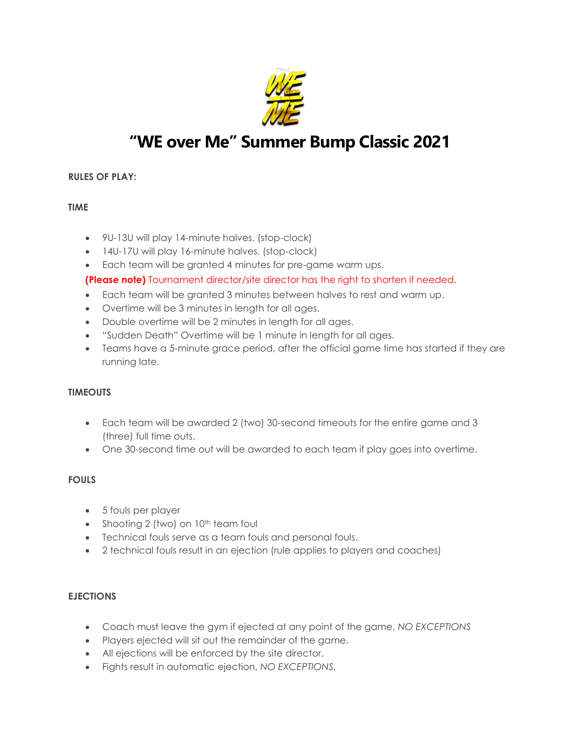

# **"WE over Me" Summer Bump Classic 2021**

## **RULES OF PLAY:**

#### **TIME**

- 9U-13U will play 14-minute halves. (stop-clock)
- 14U-17U will play 16-minute halves. (stop-clock)
- Each team will be granted 4 minutes for pre-game warm ups.

#### **(Please note)** Tournament director/site director has the right to shorten if needed.

- Each team will be granted 3 minutes between halves to rest and warm up.
- Overtime will be 3 minutes in length for all ages.
- Double overtime will be 2 minutes in length for all ages.
- "Sudden Death" Overtime will be 1 minute in length for all ages.
- Teams have a 5-minute grace period, after the official game time has started if they are running late.

#### **TIMEOUTS**

- Each team will be awarded 2 (two) 30-second timeouts for the entire game and 3 (three) full time outs.
- One 30-second time out will be awarded to each team if play goes into overtime.

#### **FOULS**

- 5 fouls per player
- Shooting 2 (two) on 10<sup>th</sup> team foul
- Technical fouls serve as a team fouls and personal fouls.
- 2 technical fouls result in an ejection (rule applies to players and coaches)

### **EJECTIONS**

- Coach must leave the gym if ejected at any point of the game. *NO EXCEPTIONS*
- Players ejected will sit out the remainder of the game.
- All ejections will be enforced by the site director.
- Fights result in automatic ejection, *NO EXCEPTIONS.*